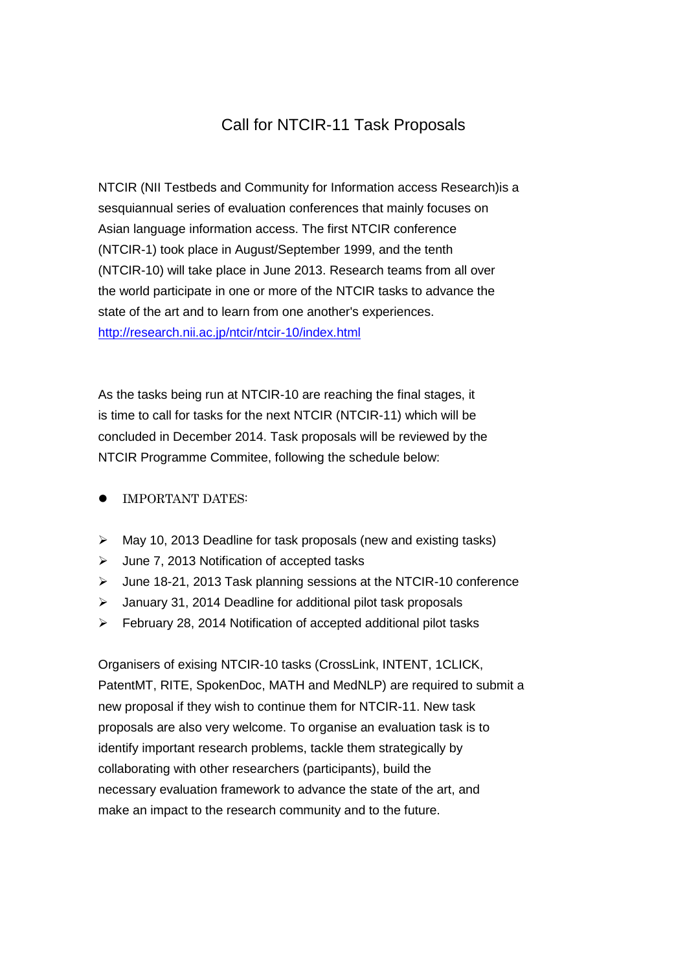## Call for NTCIR-11 Task Proposals

NTCIR (NII Testbeds and Community for Information access Research)is a sesquiannual series of evaluation conferences that mainly focuses on Asian language information access. The first NTCIR conference (NTCIR-1) took place in August/September 1999, and the tenth (NTCIR-10) will take place in June 2013. Research teams from all over the world participate in one or more of the NTCIR tasks to advance the state of the art and to learn from one another's experiences. <http://research.nii.ac.jp/ntcir/ntcir-10/index.html>

As the tasks being run at NTCIR-10 are reaching the final stages, it is time to call for tasks for the next NTCIR (NTCIR-11) which will be concluded in December 2014. Task proposals will be reviewed by the NTCIR Programme Commitee, following the schedule below:

- IMPORTANT DATES:
- $\triangleright$  May 10, 2013 Deadline for task proposals (new and existing tasks)
- $\triangleright$  June 7, 2013 Notification of accepted tasks
- $\geq$  June 18-21, 2013 Task planning sessions at the NTCIR-10 conference
- January 31, 2014 Deadline for additional pilot task proposals
- $\triangleright$  February 28, 2014 Notification of accepted additional pilot tasks

Organisers of exising NTCIR-10 tasks (CrossLink, INTENT, 1CLICK, PatentMT, RITE, SpokenDoc, MATH and MedNLP) are required to submit a new proposal if they wish to continue them for NTCIR-11. New task proposals are also very welcome. To organise an evaluation task is to identify important research problems, tackle them strategically by collaborating with other researchers (participants), build the necessary evaluation framework to advance the state of the art, and make an impact to the research community and to the future.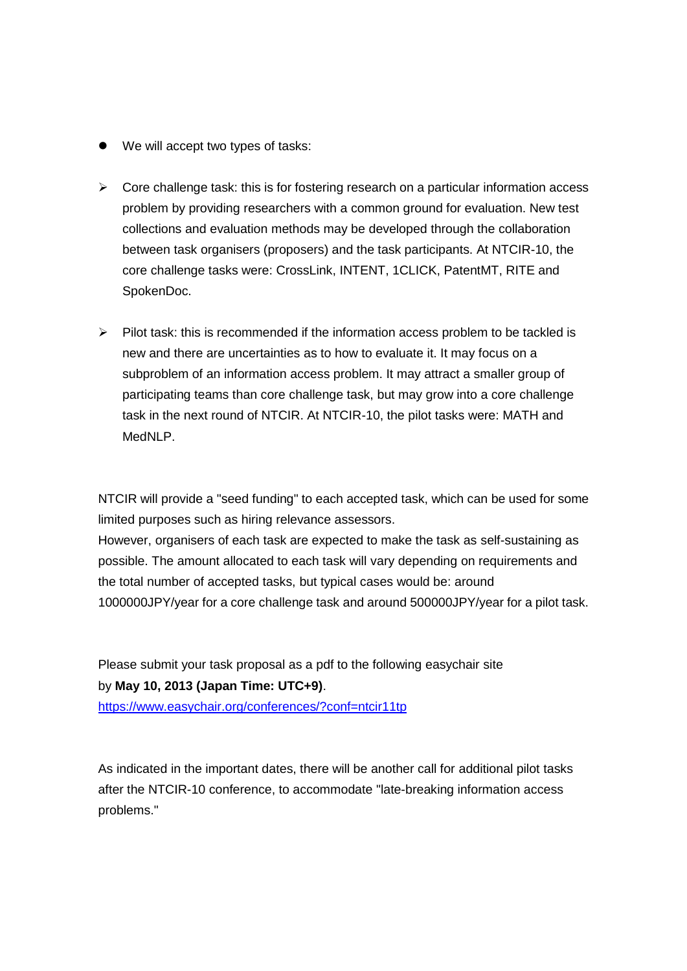- We will accept two types of tasks:
- $\triangleright$  Core challenge task: this is for fostering research on a particular information access problem by providing researchers with a common ground for evaluation. New test collections and evaluation methods may be developed through the collaboration between task organisers (proposers) and the task participants. At NTCIR-10, the core challenge tasks were: CrossLink, INTENT, 1CLICK, PatentMT, RITE and SpokenDoc.
- $\triangleright$  Pilot task: this is recommended if the information access problem to be tackled is new and there are uncertainties as to how to evaluate it. It may focus on a subproblem of an information access problem. It may attract a smaller group of participating teams than core challenge task, but may grow into a core challenge task in the next round of NTCIR. At NTCIR-10, the pilot tasks were: MATH and MedNLP.

NTCIR will provide a "seed funding" to each accepted task, which can be used for some limited purposes such as hiring relevance assessors.

However, organisers of each task are expected to make the task as self-sustaining as possible. The amount allocated to each task will vary depending on requirements and the total number of accepted tasks, but typical cases would be: around 1000000JPY/year for a core challenge task and around 500000JPY/year for a pilot task.

Please submit your task proposal as a pdf to the following easychair site by **May 10, 2013 (Japan Time: UTC+9)**. <https://www.easychair.org/conferences/?conf=ntcir11tp>

As indicated in the important dates, there will be another call for additional pilot tasks after the NTCIR-10 conference, to accommodate "late-breaking information access problems."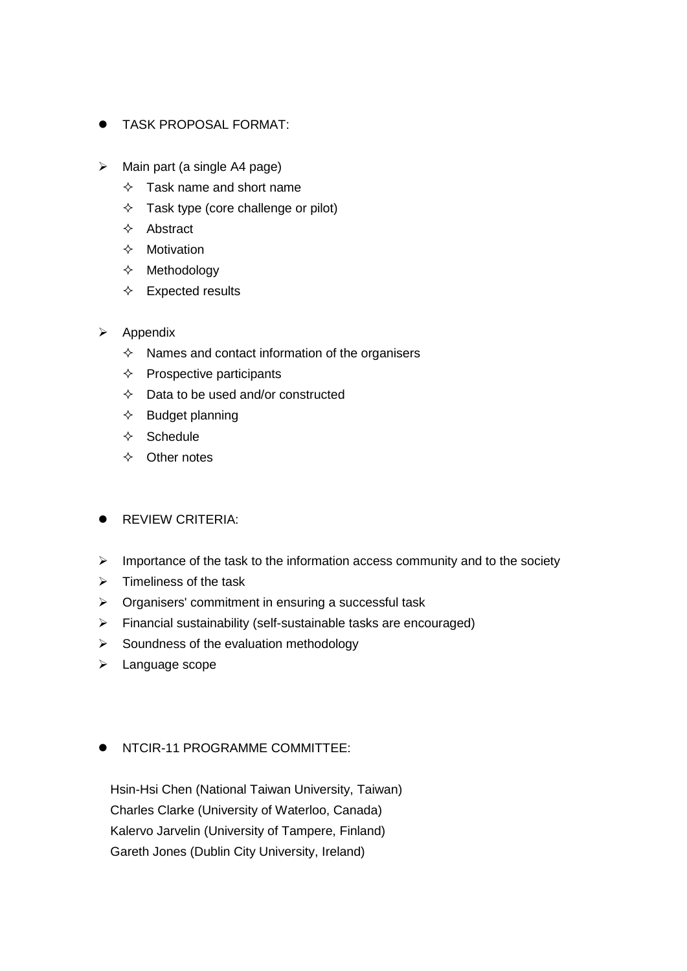- TASK PROPOSAL FORMAT:
- $\triangleright$  Main part (a single A4 page)
	- $\Diamond$  Task name and short name
	- $\Diamond$  Task type (core challenge or pilot)
	- $\Diamond$  Abstract
	- $\Leftrightarrow$  Motivation
	- $\Leftrightarrow$  Methodology
	- $\Leftrightarrow$  Expected results
- $\triangleright$  Appendix
	- $\Diamond$  Names and contact information of the organisers
	- $\Leftrightarrow$  Prospective participants
	- $\Diamond$  Data to be used and/or constructed
	- $\Diamond$  Budget planning
	- $\Leftrightarrow$  Schedule
	- $\Leftrightarrow$  Other notes
- **•** REVIEW CRITERIA:
- $\triangleright$  Importance of the task to the information access community and to the society
- $\triangleright$  Timeliness of the task
- $\triangleright$  Organisers' commitment in ensuring a successful task
- $\triangleright$  Financial sustainability (self-sustainable tasks are encouraged)
- $\triangleright$  Soundness of the evaluation methodology
- $\blacktriangleright$  Language scope

## **NTCIR-11 PROGRAMME COMMITTEE:**

Hsin-Hsi Chen (National Taiwan University, Taiwan) Charles Clarke (University of Waterloo, Canada) Kalervo Jarvelin (University of Tampere, Finland) Gareth Jones (Dublin City University, Ireland)